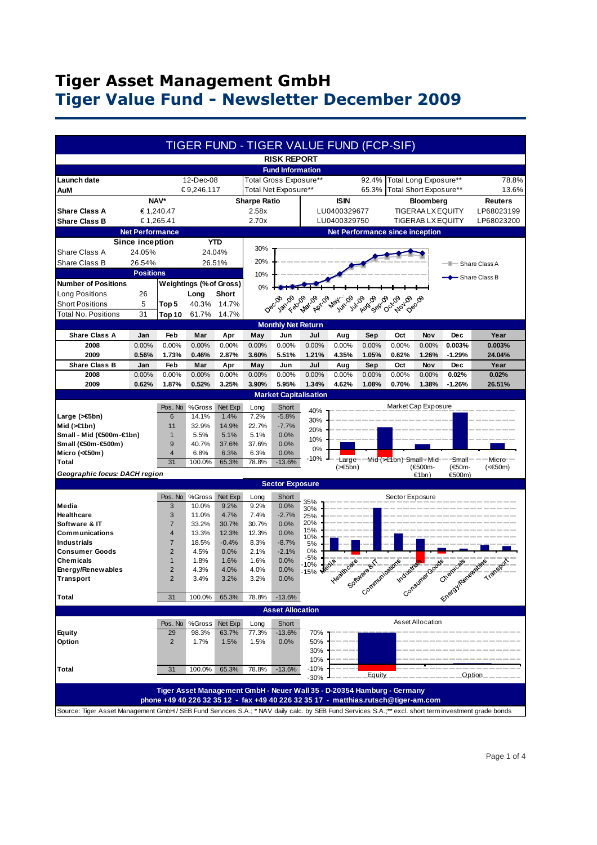## **Tiger Asset Management GmbH Tiger Value Fund - Newsletter December 2009**

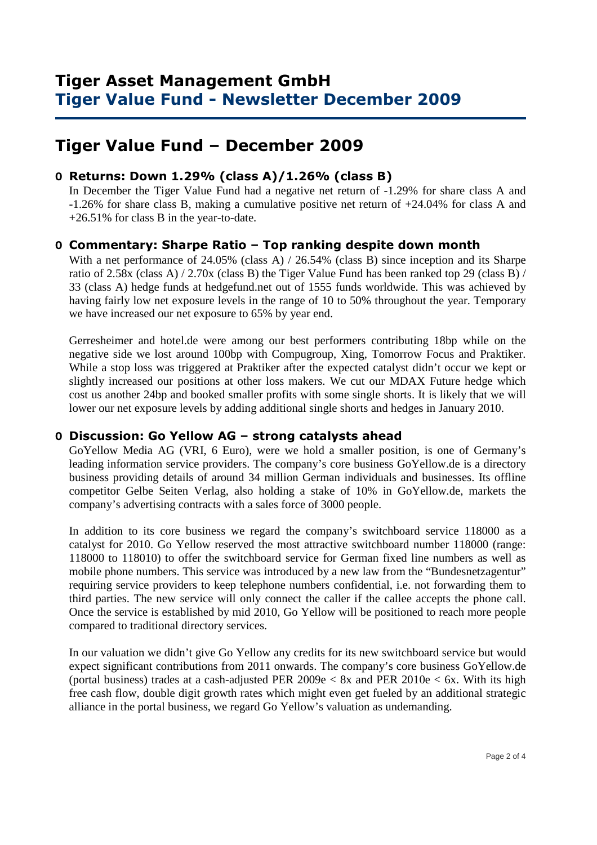## **Tiger Value Fund – December 2009**

### **O Returns: Down 1.29% (class A)/1.26% (class B)**

 In December the Tiger Value Fund had a negative net return of -1.29% for share class A and -1.26% for share class B, making a cumulative positive net return of +24.04% for class A and +26.51% for class B in the year-to-date.

#### **O Commentary: Sharpe Ratio – Top ranking despite down month**

With a net performance of 24.05% (class A) / 26.54% (class B) since inception and its Sharpe ratio of 2.58x (class A) / 2.70x (class B) the Tiger Value Fund has been ranked top 29 (class B) / 33 (class A) hedge funds at hedgefund.net out of 1555 funds worldwide. This was achieved by having fairly low net exposure levels in the range of 10 to 50% throughout the year. Temporary we have increased our net exposure to 65% by year end.

Gerresheimer and hotel.de were among our best performers contributing 18bp while on the negative side we lost around 100bp with Compugroup, Xing, Tomorrow Focus and Praktiker. While a stop loss was triggered at Praktiker after the expected catalyst didn't occur we kept or slightly increased our positions at other loss makers. We cut our MDAX Future hedge which cost us another 24bp and booked smaller profits with some single shorts. It is likely that we will lower our net exposure levels by adding additional single shorts and hedges in January 2010.

### **O Discussion: Go Yellow AG – strong catalysts ahead**

GoYellow Media AG (VRI, 6 Euro), were we hold a smaller position, is one of Germany's leading information service providers. The company's core business GoYellow.de is a directory business providing details of around 34 million German individuals and businesses. Its offline competitor Gelbe Seiten Verlag, also holding a stake of 10% in GoYellow.de, markets the company's advertising contracts with a sales force of 3000 people.

In addition to its core business we regard the company's switchboard service 118000 as a catalyst for 2010. Go Yellow reserved the most attractive switchboard number 118000 (range: 118000 to 118010) to offer the switchboard service for German fixed line numbers as well as mobile phone numbers. This service was introduced by a new law from the "Bundesnetzagentur" requiring service providers to keep telephone numbers confidential, i.e. not forwarding them to third parties. The new service will only connect the caller if the callee accepts the phone call. Once the service is established by mid 2010, Go Yellow will be positioned to reach more people compared to traditional directory services.

In our valuation we didn't give Go Yellow any credits for its new switchboard service but would expect significant contributions from 2011 onwards. The company's core business GoYellow.de (portal business) trades at a cash-adjusted PER  $2009e < 8x$  and PER  $2010e < 6x$ . With its high free cash flow, double digit growth rates which might even get fueled by an additional strategic alliance in the portal business, we regard Go Yellow's valuation as undemanding.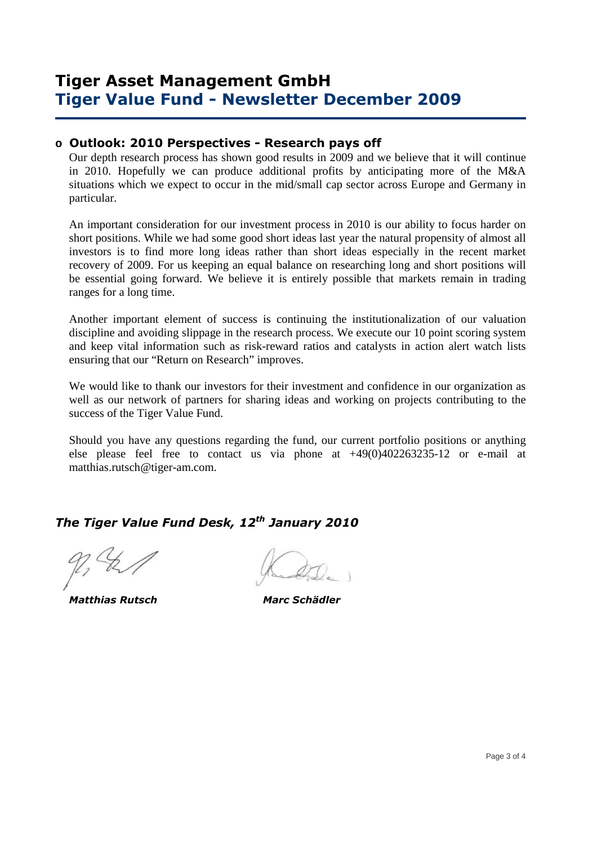### **Tiger Asset Management GmbH Tiger Value Fund - Newsletter December 2009**

#### **o Outlook: 2010 Perspectives - Research pays off**

Our depth research process has shown good results in 2009 and we believe that it will continue in 2010. Hopefully we can produce additional profits by anticipating more of the M&A situations which we expect to occur in the mid/small cap sector across Europe and Germany in particular.

An important consideration for our investment process in 2010 is our ability to focus harder on short positions. While we had some good short ideas last year the natural propensity of almost all investors is to find more long ideas rather than short ideas especially in the recent market recovery of 2009. For us keeping an equal balance on researching long and short positions will be essential going forward. We believe it is entirely possible that markets remain in trading ranges for a long time.

Another important element of success is continuing the institutionalization of our valuation discipline and avoiding slippage in the research process. We execute our 10 point scoring system and keep vital information such as risk-reward ratios and catalysts in action alert watch lists ensuring that our "Return on Research" improves.

We would like to thank our investors for their investment and confidence in our organization as well as our network of partners for sharing ideas and working on projects contributing to the success of the Tiger Value Fund.

Should you have any questions regarding the fund, our current portfolio positions or anything else please feel free to contact us via phone at +49(0)402263235-12 or e-mail at matthias.rutsch@tiger-am.com.

# *The Tiger Value Fund Desk, 12th January 2010*

 *Matthias Rutsch Marc Schädler*